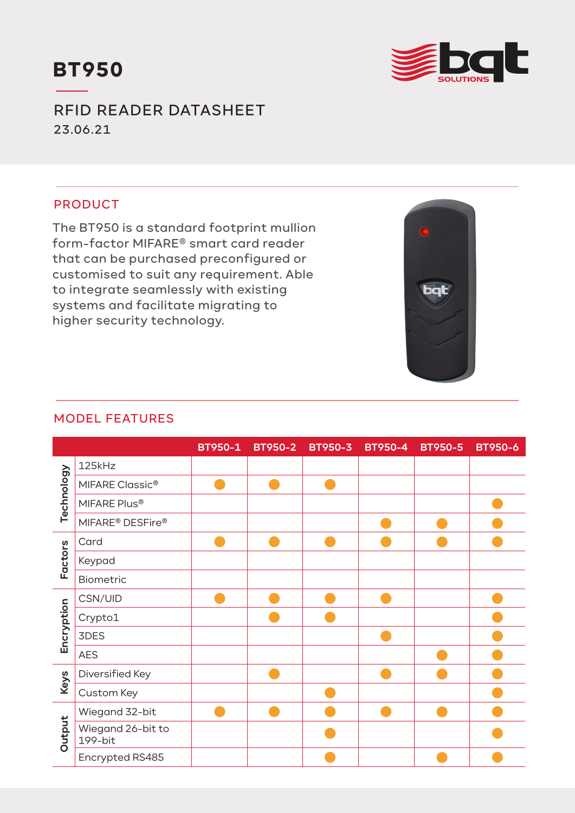



RFID READER DATASHEET 23.06.21

# PRODUCT

The BT950 is a standard footprint mullion form-factor MIFARE® smart card reader that can be purchased preconfigured or customised to suit any requirement. Able to integrate seamlessly with existing systems and facilitate migrating to higher security technology.



### MODEL FEATURES

|            |                                          | BT950-1 | <b>BT950-2</b> | <b>BT950-3</b> | <b>BT950-4</b> | <b>BT950-5</b> | <b>BT950-6</b> |
|------------|------------------------------------------|---------|----------------|----------------|----------------|----------------|----------------|
| Technology | 125kHz                                   |         |                |                |                |                |                |
|            | MIFARE Classic <sup>®</sup>              |         |                |                |                |                |                |
|            | MIFARE Plus®                             |         |                |                |                |                |                |
|            | MIFARE <sup>®</sup> DESFire <sup>®</sup> |         |                |                |                |                |                |
| Factors    | Card                                     |         |                |                |                |                |                |
|            | Keypad                                   |         |                |                |                |                |                |
|            | Biometric                                |         |                |                |                |                |                |
| Encryption | CSN/UID                                  |         |                |                |                |                |                |
|            | Crypto1                                  |         |                |                |                |                |                |
|            | 3DES                                     |         |                |                |                |                |                |
|            | <b>AES</b>                               |         |                |                |                |                |                |
| Keys       | Diversified Key                          |         |                |                |                |                |                |
|            | Custom Key                               |         |                |                |                |                |                |
| Output     | Wiegand 32-bit                           |         |                |                |                |                |                |
|            | Wiegand 26-bit to<br>199-bit             |         |                |                |                |                |                |
|            | Encrypted RS485                          |         |                |                |                |                |                |